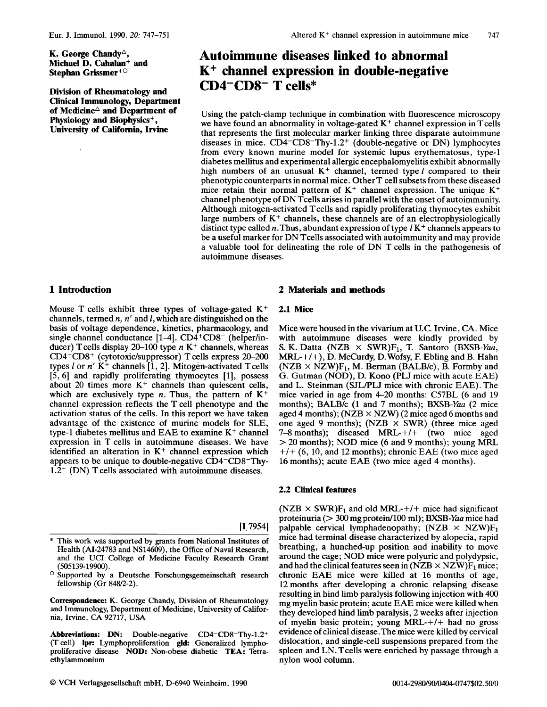K. George Chandy<sup> $\triangle$ </sup>, **Michael D. Cahalan+ and Stepban Grissmer+O** 

**Division of Rheumatology and Clinical Immunology, Department**  of Medicine<sup> $\triangle$ </sup> and Department of **Physiology and Biophysics+, University of California, Irvine** 

# **Autoimmune diseases linked to abnormal K+ channel expression in double-negative CD4-CDS- T cells\***

Using the patch-clamp technique in combination with fluorescence microscopy we have found an abnormality in voltage-gated K<sup>+</sup> channel expression in Tcells that represents the first molecular marker linking three disparate autoimmune diseases in mice. CD4-CD8-Thy-1.2+ (double-negative or DN) lymphocytes from every known murine model for systemic lupus erythematosus, type-1 diabetes mellitus and experimental allergic encephalomyelitis exhibit abnormally high numbers of an unusual  $K^+$  channel, termed type  $l$  compared to their phenotypic counterparts in normal mice. OtherT cell subsets from these diseased mice retain their normal pattern of  $K^+$  channel expression. The unique  $K^+$ channel phenotype of DN Tcells arises in parallel with the onset of autoimmunity. Although mitogen-activated Tcells and rapidly proliferating thymocytes exhibit large numbers of **K+** channels, these channels are of an electrophysiologically distinct type called n. Thus, abundant expression of type  $lK^+$  channels appears to be a useful marker for DN Tcells associated with autoimmunity and may provide a valuable tool for delineating the role of DN T cells in the pathogenesis of autoimmune diseases.

# **1 Introduction**

Mouse T cells exhibit three types of voltage-gated **K+**  channels, termed *n,* n' and I, which are distinguished on the basis of voltage dependence, kinetics, pharmacology, and single channel conductance  $[1-4]$ . CD4<sup>+</sup>CD8<sup>-</sup> (helper/inducer) T cells display 20-100 type n K<sup>+</sup> channels, whereas CD4<sup>-</sup>CD8<sup>+</sup> (cytotoxic/suppressor) T cells express 20-200 types  $l$  or  $n'$   $K^+$  channels  $\begin{bmatrix} 1 \\ 2 \end{bmatrix}$ . Mitogen-activated T cells [5, 6] and rapidly proliferating thymocytes [1], possess about 20 times more **K+** channels than quiescent cells, which are exclusively type  $n$ . Thus, the pattern of  $K^+$ channel expression reflects the T cell phenotype and the activation status of the cells. In this report we have taken advantage of the existence of murine models for SLE, type-1 diabetes mellitus and EAE to examine **K+** channel expression in T cells in autoimmune diseases. We have identified an alteration in  $K^+$  channel expression which appears to be unique to double-negative CD4-CD8-Thy- $1.2^{+}$  (DN) T cells associated with autoimmune diseases.

[I, 7954]

- This work was supported by grants from National Institutes of Health (AI-24783 and NS14609), the Office of Naval Research, and the UCI College of Medicine Faculty Research Grant (505139-19900).
- $\circ$  Supported by a Deutsche Forschungsgemeinschaft research fellowship (Gr  $848/2-2$ ).

Correspondence: K. George Chandy, Division of Rheumatology and Immunology, Department of Medicine, University of California, Irvine, CA 92717, USA

Abbreviations: **DN:** Double-negative CD4-CD8-Thy-l.2+ (T cell) Ipr: Lymphoproliferation gld: Generalized lymphoproliferative disease **NOD:** Non-obese diabetic **TEA:** Tetraethylammonium

# **2 Materials and methods**

#### **2.1 Mice**

Mice were housed in the vivarium at U.C. Irvine, CA. Mice with autoimmune diseases were kindly provided by S. K. Datta (NZB  $\times$  SWR)F<sub>1</sub>, T. Santoro (BXSB-Yaa, MRL-+/+), D. McCurdy, D.Wofsy, F. Ebling and B. Hahn  $(NZB \times NZW)F_1$ , M. Berman (BALB/c), B. Formby and G. Gutman (NOD), D. Kono (PLJ mice with acute EAE) and L. Steinman *(SJL/PLJ mice with chronic EAE)*. The mice varied in age from 4-20 months: C57BL (6 and 19 months); BALB/c (1 and 7 months); BXSB-Yaa (2 mice aged 4 months); (NZB **x** NZW) (2 mice aged 6 months and one aged 9 months); (NZB **x** SWR) (three mice aged 7-8 months); diseased MRL- $+/+$  (two mice aged > 20 months); NOD mice (6 and 9 months); young MFU  $+/+$  (6, 10, and 12 months); chronic EAE (two mice aged 16 months); acute EAE (two mice aged **4** months).

#### **2.2 Clinical features**

 $(NZB \times SWR)F_1$  and old MRL-+/+ mice had significant proteinuria ( $> 300$  mg protein/100 ml); BXSB-Yaa mice had palpable cervical lymphadenopathy;  $(NZB \times NZW)F_1$ mice had terminal disease characterized by alopecia, rapid breathing, a hunched-up position and inability to move around the cage; NOD mice were polyuric and polydypsic, and had the clinical features seen in (NZB  $\times$  NZW)F<sub>1</sub> mice; chronic EAE mice were killed at 16 months of age, 12 months after developing a chronic relapsing disease resulting in hind limb paralysis following injection with 400 mg myelin basic protein; acute EAE mice were killed when they developed hind limb paralysis, 2 weeks after injection of myelin basic protein; young MRL-+/+ had no gross evidence of clinical disease.The mice were killed by cervical dislocation, and single-cell suspensions prepared from the spleen and LN. Tcells were enriched by passage through a nylon wool column.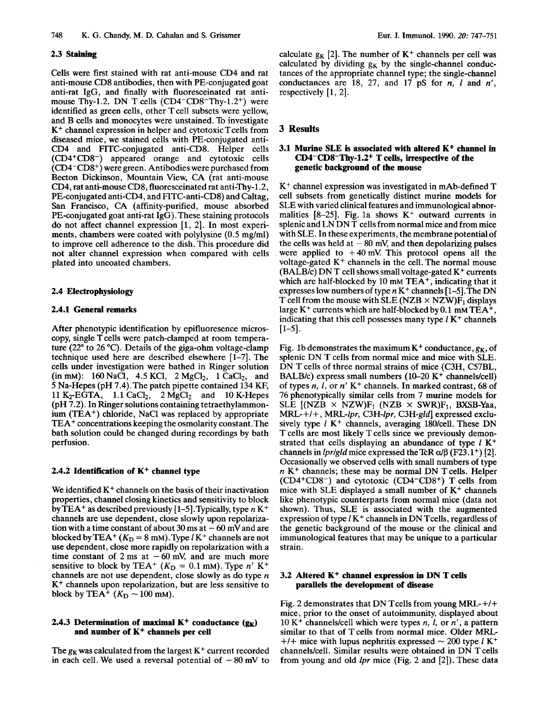## **2.3 Staining**

Cells were first stained with rat anti-mouse CD4 and rat anti-mouse CD8 antibodies, then with PE-conjugated goat anti-rat IgG, and finally with fluoresceinated rat antimouse Thy-1.2. DN T cells  $(CD4-CD8-Thy-1.2^+)$  were identified as green cells, other T cell subsets were yellow, and B cells and monocytes were unstained. To investigate  $K<sup>+</sup>$  channel expression in helper and cytotoxic  $T$  cells from diseased mice, we stained cells with PE-conjugated anti-CD4 and FITC-conjugated anti-CD8. Helper cells (CD4+CD8-) appeared orange and cytotoxic cells  $(CD4-CD8<sup>+</sup>)$  were green. Antibodies were purchased from Becton Dickinson, Mountain View, CA (rat anti-mouse CD4, rat anti-mouse CD8, fluoresceinated rat anti-Thy-1.2, PE-conjugated anti-CD4, and FITC-anti-CD8) and Caltag, San Francisco, CA (affinity-purified, mouse absorbed PE-conjugated goat anti-rat IgG). These staining protocols do not affect channel expression [1, 2]. In most experiments, chambers were coated with polylysine (0.5 mg/ml) to improve cell adherence to the dish. This procedure did not alter channel expression when compared with cells plated into uncoated chambers.

#### **2.4 Electrophysiology**

### **2.4.1 General remarks**

After phenotypic identification by epifluoresence microscopy, single T cells were patch-clamped at room temperature (22" to 26 "C). Details of the giga-ohm voltage-clamp technique used here are described elsewhere  $[1-7]$ . The cells under investigation were bathed in Ringer solution (in mm): 160 NaCl, 4.5 KCl, 2 MgCl<sub>2</sub>, 1 CaCl<sub>2</sub>, and *5* Na-Hepes (pH 7.4).The patch pipette contained 134 KF, 11 K<sub>2</sub>-EGTA, 1.1 CaCl<sub>2</sub>, 2 MgCl<sub>2</sub> and 10 K-Hepes (pH 7.2). In Ringer solutions containing tetraethylammonium  $(TEA<sup>+</sup>)$  chloride, NaCl was replaced by appropriate TEA+ concentrations keeping the osmolarity constant.The bath solution could be changed during recordings by bath perfusion.

#### **2.4.2 Identification of K<sup>+</sup> channel type**

We identified  $K<sup>+</sup>$  channels on the basis of their inactivation properties, channel closing kinetics and sensitivity to block by TEA<sup>+</sup> as described previously  $[1-5]$ . Typically, type  $nK^+$ channels are use dependent, close slowly upon repolarization with a time constant of about 30 ms at  $-60$  mV and are blocked by TEA<sup>+</sup>  $(K_D = 8 \text{ mM})$ . Type *l* K<sup>+</sup> channels are not use dependent, close more rapidly on repolarization with a time constant of 2 ms at  $-60$  mV, and are much more sensitive to block by TEA<sup>+</sup>  $(K_D = 0.1$  mM). Type *n'* K<sup>+</sup> channels are not use dependent, close slowly as do type *n*  K<sup>+</sup> channels upon repolarization, but are less sensitive to block by TEA<sup>+</sup> ( $K<sub>D</sub> \sim 100$  mM).

## **2.4.3 Determination of maximal K<sup>+</sup> conductance**  $(g_K)$ **and number of K+ channels per cell**

The  $g_K$  was calculated from the largest  $K^+$  current recorded in each cell. We used a reversal potential of  $-80$  mV to calculate  $g_K$  [2]. The number of  $K^+$  channels per cell was calculated by dividing  $g_K$  by the single-channel conductances of the appropriate channel type; the single-channel conductances are 18, 27, and 17 pS for *n, I* and *n',*  respectively  $[1, 2]$ .

# **3 Results**

## **3.1 Murine SLE is associated with altered K+ channel in CD4-CDS-Thy-1.2+ T cells, irrespective of the genetic background of the mouse**

**K+** channel expression was investigated in mAb-defined T cell subsets from genetically distinct murine models for SLE with varied clinical features and immunological abnormalities [8-25]. Fig. 1a shows  $K^+$  outward currents in splenic and LN DN T cells from normal mice and from mice with SLE. In these experiments, the membrane potentialof the cells was held at  $-80$  mV, and then depolarizing pulses were applied to  $+40$  mV. This protocol opens all the voltage-gated  $K^+$  channels in the cell. The normal mouse (BALB/c) DN T cell shows small voltage-gated  $K^+$  currents which are half-blocked by 10 mM TE $\overline{A}^+$ , indicating that it expresses low numbers of type  $n K^+$  channels  $[1-5]$ . The DN T cell from the mouse with  $SLE (NZB \times NZW)F_1$  displays large K<sup>+</sup> currents which are half-blocked by  $0.1 \text{ mM} \text{ TEA}^+$ , indicating that this cell possesses many type  $I K<sup>+</sup>$  channels  $[1-5]$ .

Fig. 1b demonstrates the maximum  $K^+$  conductance,  $g_K$ , of splenic DN T cells from normal mice and mice with SLE. DN T cells of three normal strains of mice (C3H, C57BL, BALB/c) express small numbers (10-20 K<sup>+</sup> channels/cell) of types *n,* I, or *n'* K+ channels. In marked contrast, 68 of 76 phenotypically similar cells from 7 murine models for SLE  $[(NZB \times NZW)F_1 (NZB \times SWR)F_1, BXSB-Yaa,$  $MRL+/+$ ,  $MRL-1pr$ ,  $C3H-1pr$ ,  $C3H-gld$  expressed exclusively type I **K+** channels, averaging 180/cell. These DN T cells are most likely T cells since we previously demonstrated that cells displaying an abundance of type *1* **K+**  channels in *lpr/gld* mice expressed the TcR  $\alpha/\beta$  (F23.1<sup>+</sup>) [2]. Occasionally we observed cells with small numbers of type  $n K<sup>+</sup>$  channels; these may be normal DN T cells. Helper  $(CD4+CD8^-)$  and cytotoxic  $(CD4-CD8^+)$  T cells from mice with SLE displayed a small number of **K+** channels like phenotypic counterparts from normal mice (data not shown). Thus, SLE is associated with the augmented expression of type *1* K+ channels in DN Tcells, regardless of the genetic background of the mouse or the clinical and immunological features that may be unique to a particular strain.

#### **3.2 Altered K+ channel expression in DN T cells parallels the development of disease**

Fig. 2 demonstrates that DN Tcells from young MRL-+/+ mice, prior to the onset of autoimmunity, displayed about 10 K<sup>+</sup> channels/cell which were types *n*, *l*, or *n'*, a pattern similar to that of T cells from normal mice. Older MRL+/+ mice with lupus nephritis expressed  $\sim$  200 type  $I$  K<sup>+</sup> channels/cell. Similar results were obtained in DN T cells from young and old lpr mice (Fig. 2 and [2]). These data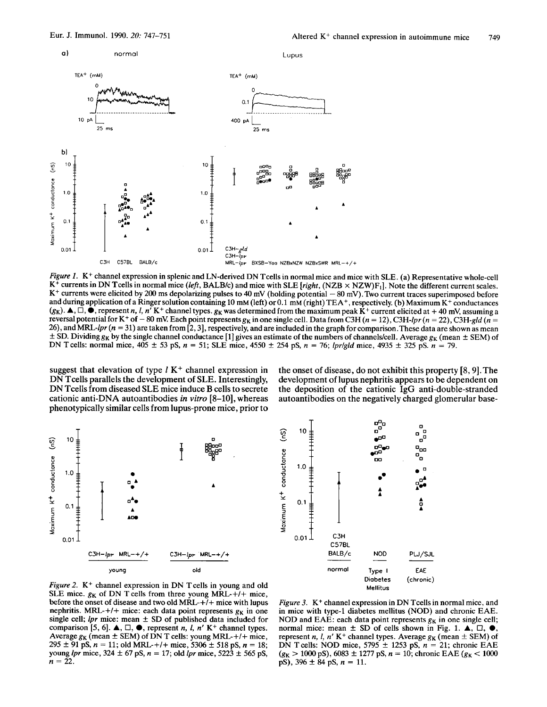

Figure 1. K<sup>+</sup> channel expression in splenic and LN-derived DN Tcells in normal mice and mice with SLE. (a) Representative whole-cell  $K^+$  currents in DN Tcells in normal mice (left, BALB/c) and mice with SLE [right,  $(NZB \times NZW)F_1$ ]. Note the different current scales. **K+** currents were elicited by 200 **ms** depolarizing pulses to **40** mV (holding potential - 80 mV). Two current traces superimposed before and during application of a Ringer solution containing 10 mM (left) or 0.1 mM (right) TEA+, respectively. (b) Maximum K+ conductances  $(g_K)$ .  $\blacktriangle$ ,  $\Box$ ,  $\blacktriangleright$ , represent *n, l, n'* K<sup>+</sup> channel types.  $g_K$  was determined from the maximum peak K<sup>+</sup> current elicited at +40 mV, assuming a reversal potential for K<sup>+</sup> of - 80 mV. Each point represents  $g_K$  in one single cell. Data from C3H ( $n = 12$ ), C3H-lpr ( $n = 22$ ), C3H-gld ( $n = 12$ ) 26), and MRL-lpr *(n* = 31) are taken from [2,3], respectively, and are included in the graph for comparison.These data are shown as mean  $\pm$  SD. Dividing  $g_K$  by the single channel conductance [1] gives an estimate of the numbers of channels/cell. Average  $g_K$  (mean  $\pm$  SEM) of DN T cells: normal mice,  $405 \pm 53$  pS,  $n = 51$ ; SLE mice,  $4550 \pm 254$  pS,  $n = 76$ ; lpr/gld mice,  $4935 \pm 325$  pS.  $n = 79$ .

suggest that elevation of type  $l K^+$  channel expression in DN Tcells parallels the development of SLE. Interestingly, DN Tcells from diseased SLE mice induce B cells to secrete cationic anti-DNA autoantibodies *in* vitro [8-lo], whereas phenotypically similar cells from lupus-prone mice, prior to

the onset of disease, do not exhibit this property [8,9].The development of lupus nephritis appears to be dependent on the deposition of the cationic IgG anti-double-stranded autoantibodies on the negatively charged glomerular base-





Figure 2.  $K^+$  channel expression in DN T cells in young and old SLE mice.  $g_K$  of DN T cells from three young MRL-+/+ mice, before the onset of disease and two old  $\overline{MRL}+1$  mice with lupus nephritis. MRL-+/+ mice: each data point represents  $g_K$  in one single cell;  $lpr$  mice: mean  $\pm$  SD of published data included for comparison [5, 6].  $\blacktriangle$ ,  $\square$ ,  $\blacktriangleright$ , represent *n*, *l*, *n'* K<sup>+</sup> channel types. Average  $g_K$  (mean  $\pm$  SEM) of DN T cells: young MRL-+/+ mice,  $295 \pm 91$  pS,  $n = 11$ ; old MRL-+/+ mice, 5306  $\pm$  518 pS,  $n = 18$ ; young *lpr* mice,  $324 \pm 67$  pS,  $n = 17$ ; old *lpr* mice,  $5223 \pm 565$  pS,  $n = 22$ .

Figure 3.  $K^+$  channel expression in DN Tcells in normal mice, and in mice with type-1 diabetes mellitus (NOD) and chronic EAE. NOD and EAE: each data point represents  $g<sub>K</sub>$  in one single cell; normal mice: mean  $\pm$  SD of cells shown in Fig. 1.  $\blacktriangle$ ,  $\square$ ,  $\blacklozenge$ , represent *n*, *l*, *n'* K<sup>+</sup> channel types. Average  $g<sub>K</sub>$  (mean  $\pm$  SEM) of DN T cells: NOD mice,  $5795 \pm 1253$  pS,  $n = 21$ ; chronic EAE  $(g_K > 1000 \text{ pS})$ , 6083 ± 1277 pS, *n* = 10; chronic EAE ( $g_K < 1000 \text{ pS}$ ), 396 ± 84 pS, *n* = 11.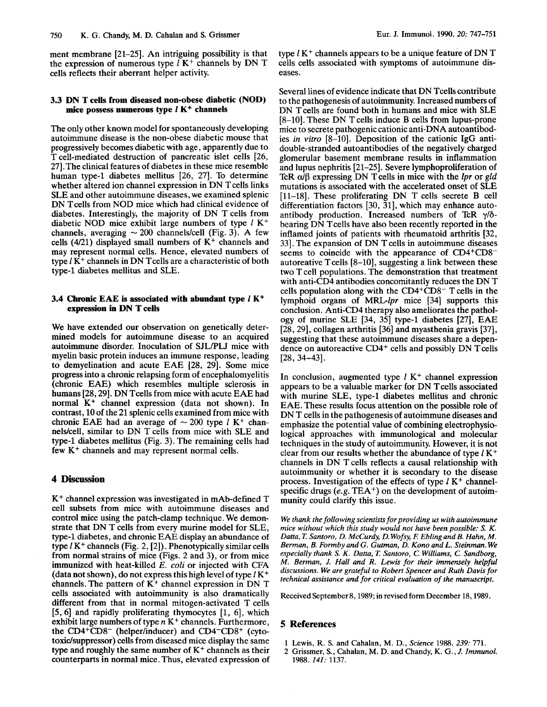ment membrane [21–25]. An intriguing possibility is that the expression of numerous type  $l$  K<sup>+</sup> channels by DN T cells reflects their aberrant helper activity.

#### **3.3 DN T cells from diseased non-obese diabetic (NOD) mice possess numerous type** *1* **K+ channels**

The only other known model for spontaneously developing autoimmune disease is the non-obese diabetic mouse that progressively becomes diabetic with age, apparently due to T cell-mediated destruction of pancreatic islet cells [26, 271.The clinical features of diabetes in these mice resemble human type-1 diabetes mellitus [26, 27]. To determine whether altered ion channel expression in DN Tcells links SLE and other autoimmune diseases, we examined splenic DN Tcells from NOD mice which had clinical evidence of diabetes. Interestingly, the majority of DN T cells from diabetic NOD mice exhibit large numbers of type *l* K<sup>+</sup> channels, averaging ~ 200 channels/cell (Fig. 3). A few cells (4/21) displayed small numbers of **K+** channels and may represent normal cells. Hence, elevated numbers of type  $I\overline{K}$ <sup>+</sup> channels in DN T cells are a characteristic of both type-1 diabetes mellitus and SLE.

## **3.4 Chronic EAE is associated with abundant type** *1* **K+ expression in DN T cells**

We have extended our observation on genetically determined models for autoimmune disease to an acquired autoimmune disorder. Inoculation of SJL/PLJ mice with myelin basic protein induces an immune response, leading to demyelination and acute EAE [28, 29]. Some mice progress into a chronic relapsing form of encephalomyelitis (chronic EAE) which resembles multiple sclerosis in humans [28,29]. DN Tcells from mice with acute EAE had normal **K+** channel expression (data not shown). In contrast, 10 of the 21 splenic cells examined from mice with chronic EAE had an average of  $\sim$  200 type *l* K<sup>+</sup> channels/cell, similar to DN T cells from mice with SLE and type-1 diabetes mellitus (Fig. 3). The remaining cells had few **K+** channels and may represent normal cells.

# **4 Discussion**

**K+** channel expression was investigated in mAb-defined T cell subsets from mice with autoimmune diseases and control mice using the patch-clamp technique. We demonstrate that DN T cells from every murine model for SLE, type-1 diabetes, and chronic EAE display an abundance of type *1* **K+** channels (Fig. 2, [2]).. Phenotypically similar cells from normal strains of mice (Figs. 2 and 3), or from mice immunized with heat-killed E. *coli* or injected with CFA (data not shown), do not express this high level of type *1* **K+**  channels. The pattern of  $K^+$  channel expression in DN T cells associated with autoimmunity is also dramatically different from that in normal mitogen-activated T cells  $[5,6]$  and rapidly proliferating thymocytes  $[1, 6]$ , which exhibit large numbers of type *n* **K+** channels. Furthermore, the CD4+CD8- (helper/inducer) and CD4-CD8+ (cytotoxidsuppressor) cells from diseased mice display the same type and roughly the same number of **K+** channels as their counterparts in normal mice. Thus, elevated expression of type *1* **K+** channels appears to be a unique feature of DN T cells cells associated with symptoms of autoimmune diseases.

Several lines of evidence indicate that DN Tcells contribute to the pathogenesis of autoimmunity. Increased numbers of DN Tcells are found both in humans and mice with SLE [8-lo]. These DN T cells induce B cells from lupus-prone mice to secrete pathogenic cationic anti-DNA autoantibodies *in vitro* [8-lo]. Deposition of the cationic IgG antidouble-stranded autoantibodies of the negatively charged glomerular basement membrane results in inflammation and lupus nephritis [21-251. Severe lymphoproliferation of TcR  $\alpha/\beta$  expressing DN T cells in mice with the *lpr* or *gld* mutations is associated with the accelerated onset of SLE [11-18]. These proliferating DN T cells secrete B cell differentiation factors  $[30, 31]$ , which may enhance autoantibody production. Increased numbers of TcR y/6 bearing DN Tcells have also been recently reported in the inflamed joints of patients with rheumatoid arthritis [32, 331. The expansion of DN T cells in autoimmune diseases seems to coincide with the appearance of CD4+CD8 autoreative  $T$  cells  $[8-10]$ , suggesting a link between these **two** T cell populations. The demonstration that treatment with anti-CD4 antibodies concomitantly reduces the DN T cells population along with the  $CD4+CD8-$  T cells in the lymphoid organs of MRL-lpr mice [34] supports this conclusion. Anti-CD4 therapy also ameliorates the pathology of murine SLE  $[34, 35]$  type-1 diabetes  $[27]$ , EAE [28,29], collagen arthritis [36] and myasthenia gravis **[37],**  suggesting that these autoimmune diseases share a dependence on autoreactive CD4<sup>+</sup> cells and possibly DN Tcells [28, 34-43].

In conclusion, augmented type *1* **K+** channel expression appears to be a valuable marker for DN T cells associated with murine SLE, type-1 diabetes mellitus and chronic EAE. These results focus attention on the possible role of DN T cells in the pathogenesis of autoimmune diseases and emphasize the potential value of combining electrophysiological approaches with immunological and molecular techniques in the study of autoimmunity. However, it is not clear from our results whether the abundance of type I **K+**  channels in DN T cells reflects a causal relationship with autoimmunity or whether it is secondary to the disease process. Investigation of the effects of type *1* **K+** channelspecific drugs (e.g. TEA<sup>+</sup>) on the development of autoimmunity could clarify this issue.

*We thank the following scientists for providing us with autoimmune mice without which this study would not have been possible:* **S.** *K. Datta, 7: Santoro, D. McCurdy, D. Wofsy, R Ebling and B. Hahn, M. Berman, B. Formby and G. Gutman, D. Kono and L. Steinman. We especially thank* **S.** *K. Datta,* **Z** *Santoro, C. Williams, C. Sandborg, M. Berman, J. Hall and R. Lewis for their immensely helpful discussions. We are grateful to Robert Spencer and Ruth Davis for technical assistance and for critical evaluation of the manuscript.* 

Received September 8,1989; in revised form December 18,1989.

#### *5* **References**

- 1 Lewis, R. S. and Cahalan, M. D., *Science* 1988. 239: 771.
- 2 Grissmer, S., Cahalan, M. D. and Chandy, K. G., J. *Immunol.*  1988. *141:* 1137.